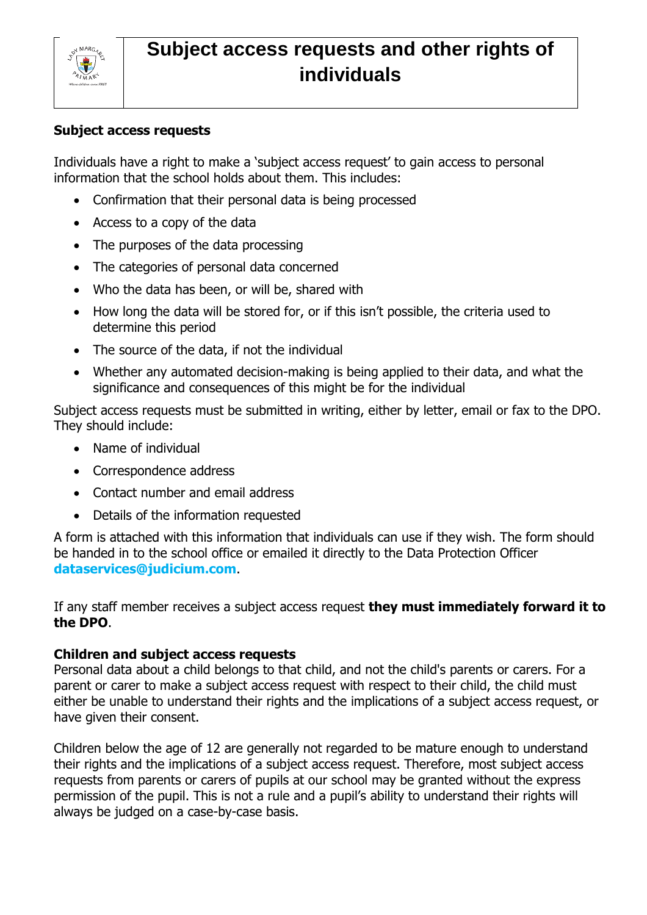

# **Subject access requests and other rights of individuals**

### **Subject access requests**

Individuals have a right to make a 'subject access request' to gain access to personal information that the school holds about them. This includes:

- Confirmation that their personal data is being processed
- Access to a copy of the data
- The purposes of the data processing
- The categories of personal data concerned
- Who the data has been, or will be, shared with
- How long the data will be stored for, or if this isn't possible, the criteria used to determine this period
- The source of the data, if not the individual
- Whether any automated decision-making is being applied to their data, and what the significance and consequences of this might be for the individual

Subject access requests must be submitted in writing, either by letter, email or fax to the DPO. They should include:

- Name of individual
- Correspondence address
- Contact number and email address
- Details of the information requested

A form is attached with this information that individuals can use if they wish. The form should be handed in to the school office or emailed it directly to the Data Protection Officer **dataservices@judicium.com**.

If any staff member receives a subject access request **they must immediately forward it to the DPO**.

#### **Children and subject access requests**

Personal data about a child belongs to that child, and not the child's parents or carers. For a parent or carer to make a subject access request with respect to their child, the child must either be unable to understand their rights and the implications of a subject access request, or have given their consent.

Children below the age of 12 are generally not regarded to be mature enough to understand their rights and the implications of a subject access request. Therefore, most subject access requests from parents or carers of pupils at our school may be granted without the express permission of the pupil. This is not a rule and a pupil's ability to understand their rights will always be judged on a case-by-case basis.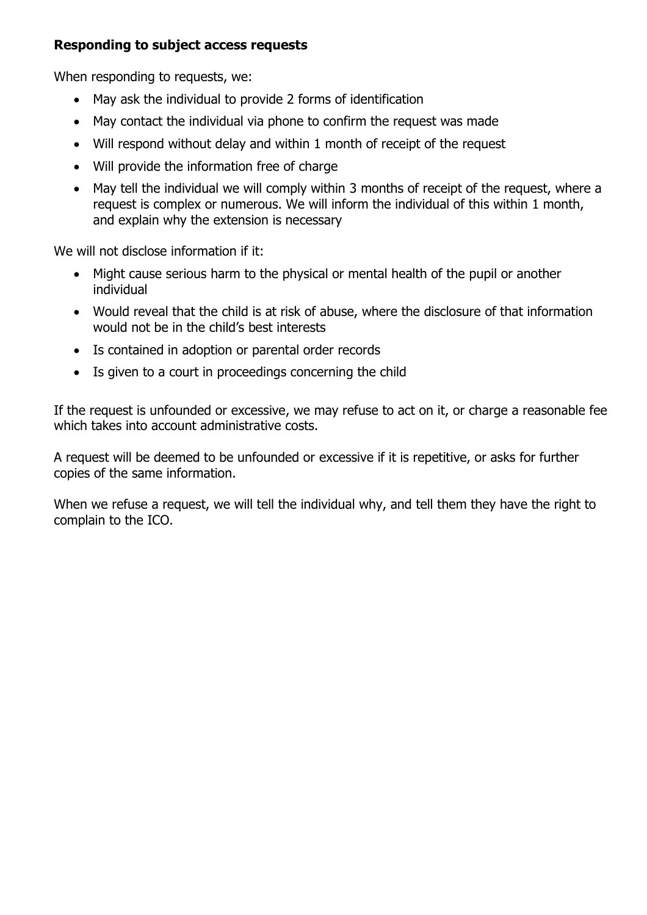## **Responding to subject access requests**

When responding to requests, we:

- May ask the individual to provide 2 forms of identification
- May contact the individual via phone to confirm the request was made
- Will respond without delay and within 1 month of receipt of the request
- Will provide the information free of charge
- May tell the individual we will comply within 3 months of receipt of the request, where a request is complex or numerous. We will inform the individual of this within 1 month, and explain why the extension is necessary

We will not disclose information if it:

- Might cause serious harm to the physical or mental health of the pupil or another individual
- Would reveal that the child is at risk of abuse, where the disclosure of that information would not be in the child's best interests
- Is contained in adoption or parental order records
- Is given to a court in proceedings concerning the child

If the request is unfounded or excessive, we may refuse to act on it, or charge a reasonable fee which takes into account administrative costs.

A request will be deemed to be unfounded or excessive if it is repetitive, or asks for further copies of the same information.

When we refuse a request, we will tell the individual why, and tell them they have the right to complain to the ICO.